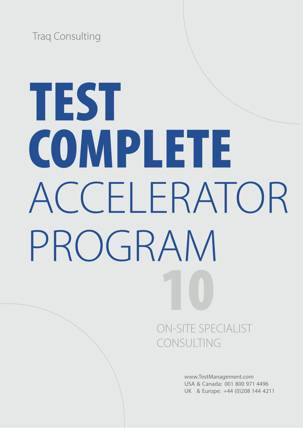Traq Consulting

# TEST COMPLETE ACCELERATOR PROGRAM 10

# ON-SITE SPECIALIST CONSULTING

www.TestManagement.com USA & Canada: 001 800 971 4496 UK & Europe: +44 (0)208 144 4211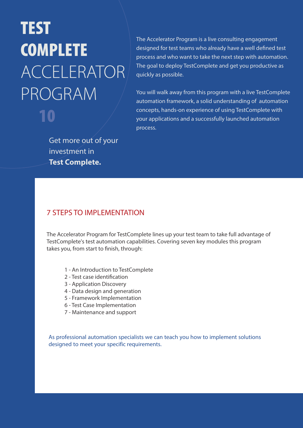# TEST **COMPLETE** ACCELERATOR PROGRAM 10

The Accelerator Program is a live consulting engagement designed for test teams who already have a well defined test process and who want to take the next step with automation. The goal to deploy TestComplete and get you productive as quickly as possible.

You will walk away from this program with a live TestComplete automation framework, a solid understanding of automation concepts, hands-on experience of using TestComplete with your applications and a successfully launched automation process.

Get more out of your investment in **Test Complete.**

## 7 STEPS TO IMPLEMENTATION

The Accelerator Program for TestComplete lines up your test team to take full advantage of TestComplete's test automation capabilities. Covering seven key modules this program takes you, from start to finish, through:

- 1 An Introduction to TestComplete
- 2 Test case identification
- 3 Application Discovery
- 4 Data design and generation
- 5 Framework Implementation
- 6 Test Case Implementation
- 7 Maintenance and support

As professional automation specialists we can teach you how to implement solutions designed to meet your specific requirements.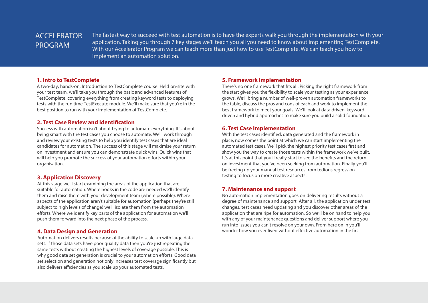## ACCELERATOR PROGRAM

The fastest way to succeed with test automation is to have the experts walk you through the implementation with your application. Taking you through 7 key stages we'll teach you all you need to know about implementing TestComplete. With our Accelerator Program we can teach more than just how to use TestComplete. We can teach you how to implement an automation solution.

#### **1. Intro to TestComplete**

A two-day, hands-on, Introduction to TestComplete course. Held on-site with your test team, we'll take you through the basic and advanced features of TestComplete, covering everything from creating keyword tests to deploying tests with the run time TestExecute module. We'll make sure that you're in the best position to run with your implementation of TestComplete.

#### **2. Test Case Review and Identification**

Success with automation isn't about trying to automate everything. It's about being smart with the test cases you choose to automate. We'll work through and review your existing tests to help you identify test cases that are ideal candidates for automation. The success of this stage will maximise your return on investment and ensure you can demonstrate quick wins. Quick wins that will help you promote the success of your automation efforts within your organisation.

#### **3. Application Discovery**

At this stage we'll start examining the areas of the application that are suitable for automation. Where hooks in the code are needed we'll identify them and raise them with your development team (where possible). Where aspects of the application aren't suitable for automation (perhaps they're still subject to high levels of change) we'll isolate them from the automation efforts. Where we identify key parts of the application for automation we'll push them forward into the next phase of the process.

#### **4. Data Design and Generation**

Automation delivers results because of the ability to scale up with large data sets. If those data sets have poor quality data then you're just repeating the same tests without creating the highest levels of coverage possible. This is why good data set generation is crucial to your automation efforts. Good data set selection and generation not only increases test coverage significantly but also delivers efficiencies as you scale up your automated tests.

#### **5. Framework Implementation**

There's no one framework that fits all. Picking the right framework from the start gives you the flexibility to scale your testing as your experience grows. We'll bring a number of well-proven automation frameworks to the table, discuss the pros and cons of each and work to implement the best framework to meet your goals. We'll look at data driven, keyword driven and hybrid approaches to make sure you build a solid foundation.

#### **6. Test Case Implementation**

With the test cases identified, data generated and the framework in place, now comes the point at which we can start implementing the automated test cases. We'll pick the highest priority test cases first and show you the way to create those tests within the framework we've built. It's at this point that you'll really start to see the benefits and the return on investment that you've been seeking from automation. Finally you'll be freeing up your manual test resources from tedious regression testing to focus on more creative aspects.

#### **7. Maintenance and support**

No automation implementation goes on delivering results without a degree of maintenance and support. After all, the application under test changes, test cases need updating and you discover other areas of the application that are ripe for automation. So we'll be on hand to help you with any of your maintenance questions and deliver support where you run into issues you can't resolve on your own. From here on in you'll wonder how you ever lived without effective automation in the first